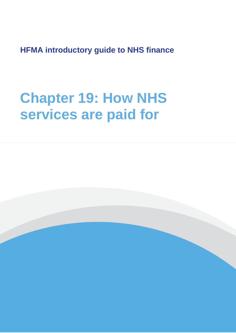**HFMA introductory guide to NHS finance**

# **Chapter 19: How NHS services are paid for**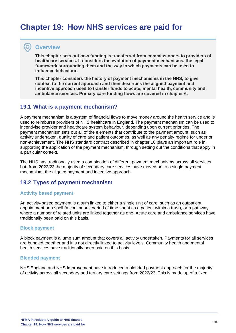# **Chapter 19: How NHS services are paid for**

# **Overview**

**This chapter sets out how funding is transferred from commissioners to providers of healthcare services. It considers the evolution of payment mechanisms, the legal framework surrounding them and the way in which payments can be used to influence behaviour.** 

**This chapter considers the history of payment mechanisms in the NHS, to give context to the current approach and then describes the aligned payment and incentive approach used to transfer funds to acute, mental health, community and ambulance services. Primary care funding flows are covered in chapter 6.**

# **19.1 What is a payment mechanism?**

A payment mechanism is a system of financial flows to move money around the health service and is used to reimburse providers of NHS healthcare in England. The payment mechanism can be used to incentivise provider and healthcare system behaviour, depending upon current priorities. The payment mechanism sets out all of the elements that contribute to the payment amount, such as activity undertaken, quality of care and patient outcomes, as well as any penalty regime for under or non-achievement. The NHS standard contract described in chapter 16 plays an important role in supporting the application of the payment mechanism, through setting out the conditions that apply in a particular context.

The NHS has traditionally used a combination of different payment mechanisms across all services but, from 2022/23 the majority of secondary care services have moved on to a single payment mechanism, the aligned payment and incentive approach.

# **19.2 Types of payment mechanism**

#### **Activity based payment**

An activity-based payment is a sum linked to either a single unit of care, such as an outpatient appointment or a spell (a continuous period of time spent as a patient within a trust), or a pathway, where a number of related units are linked together as one. Acute care and ambulance services have traditionally been paid on this basis.

#### **Block payment**

A block payment is a lump sum amount that covers all activity undertaken. Payments for all services are bundled together and it is not directly linked to activity levels. Community health and mental health services have traditionally been paid on this basis.

#### **Blended payment**

NHS England and NHS Improvement have introduced a blended payment approach for the majority of activity across all secondary and tertiary care settings from 2022/23. This is made up of a fixed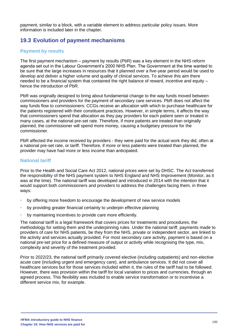payment, similar to a block, with a variable element to address particular policy issues. More information is included later in the chapter.

# **19.3 Evolution of payment mechanisms**

#### **Payment by results**

The first payment mechanism – payment by results (PbR) was a key element in the NHS reform agenda set out in the Labour Government's 2000 NHS Plan. The Government at the time wanted to be sure that the large increases in resources that it planned over a five-year period would be used to develop and deliver a higher volume and quality of clinical services. To achieve this aim there needed to be a financial system that contained the right balance of reward, incentive and equity – hence the introduction of PbR.

PbR was originally designed to bring about fundamental change to the way funds moved between commissioners and providers for the payment of secondary care services. PbR does not affect the way funds flow to commissioners: CCGs receive an allocation with which to purchase healthcare for the patients registered with their constituent practices. However, in simple terms, it affects the way that commissioners spend that allocation as they pay providers for each patient seen or treated in many cases, at the national pre-set rate. Therefore, if more patients are treated than originally planned, the commissioner will spend more money, causing a budgetary pressure for the commissioner.

PbR affected the income received by providers - they were paid for the actual work they did, often at a national pre-set rate, or tariff. Therefore, if more or less patients were treated than planned, the provider may have had more or less income than anticipated.

#### **National tariff**

Prior to the Health and Social Care Act 2012, national prices were set by DHSC. The Act transferred the responsibility of the NHS payment system to NHS England and NHS Improvement (Monitor, as it was at the time). The national tariff was developed and introduced in 2014 with the intention that it would support both commissioners and providers to address the challenges facing them, in three ways:

- by offering more freedom to encourage the development of new service models
- by providing greater financial certainty to underpin effective planning
- by maintaining incentives to provide care more efficiently.

The national tariff is a legal framework that covers prices for treatments and procedures, the methodology for setting them and the underpinning rules. Under the national tariff, payments made to providers of care for NHS patients, be they from the NHS, private or independent sector, are linked to the activity and services actually provided. For most secondary care activity, payment is based on a national pre-set price for a defined measure of output or activity while recognising the type, mix, complexity and severity of the treatment provided.

Prior to 2022/23, the national tariff primarily covered elective (including outpatients) and non-elective acute care (including urgent and emergency care), and ambulance services. It did not cover all healthcare services but for those services included within it, the rules of the tariff had to be followed. However, there was provision within the tariff for local variation to prices and currencies, through an agreed process. This flexibility was included to enable service transformation or to incentivise a different service mix, for example.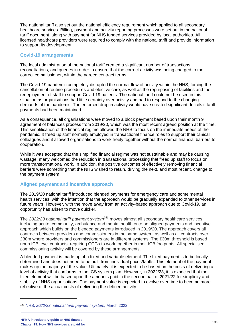The national tariff also set out the national efficiency requirement which applied to all secondary healthcare services. Billing, payment and activity reporting processes were set out in the national tariff document, along with payment for NHS funded services provided by local authorities. All licensed healthcare providers were required to comply with the national tariff and provide information to support its development.

#### **Covid-19 arrangements**

The local administration of the national tariff created a significant number of transactions, reconciliations, and queries in order to ensure that the correct activity was being charged to the correct commissioner, within the agreed contract terms.

The Covid-19 pandemic completely disrupted the normal flow of activity within the NHS, forcing the cancellation of routine procedures and elective care, as well as the repurposing of facilities and the redeployment of staff to support Covid-19 patients. The national tariff could not be used in this situation as organisations had little certainty over activity and had to respond to the changing demands of the pandemic. The enforced drop in activity would have created significant deficits if tariff payments had been maintained.

As a consequence, all organisations were moved to a block payment based upon their month 9 agreement of balances process from 2019/20, which was the most recent agreed position at the time. This simplification of the financial regime allowed the NHS to focus on the immediate needs of the pandemic. It freed up staff normally employed in transactional finance roles to support their clinical colleagues and it allowed organisations to work freely together without the normal financial barriers to cooperation.

While it was accepted that the simplified financial regime was not sustainable and may be causing wastage, many welcomed the reduction in transactional processing that freed up staff to focus on more transformational work. In addition, the positive outcomes of effectively removing financial barriers were something that the NHS wished to retain, driving the next, and most recent, change to the payment system.

#### **Aligned payment and incentive approach**

The 2019/20 national tariff introduced blended payments for emergency care and some mental health services, with the intention that the approach would be gradually expanded to other services in future years. However, with the move away from an activity-based approach due to Covid-19, an opportunity has arisen to move quicker.

The *2022/23 national tariff payment system<sup>253</sup>* moves almost all secondary healthcare services, including acute, community, ambulance and mental health onto an aligned payments and incentive approach which builds on the blended payments introduced in 2019/20. The approach covers all contracts between providers and commissioners in the same system, as well as all contracts over £30m where providers and commissioners are in different systems. The £30m threshold is based upon ICB level contracts, requiring CCGs to work together in their ICB footprints. All specialised commissioning activity will be covered by these arrangements.

A blended payment is made up of a fixed and variable element. The fixed payment is to be locally determined and does not need to be built from individual prices/tariffs. This element of the payment makes up the majority of the value. Ultimately, it is expected to be based on the costs of delivering a level of activity that conforms to the ICS system plan. However, in 2022/23, it is expected that the fixed element will be based upon the amounts paid in the second half of 2021/22 for simplicity and stability of NHS organisations. The payment value is expected to evolve over time to become more reflective of the actual costs of delivering the defined activity.

<sup>253</sup> NHS, *2022/23 national [tariff payment system,](https://www.england.nhs.uk/wp-content/uploads/2020/11/22-23-National-tariff-payment-system.pdf)* March 2022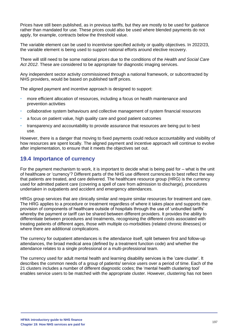Prices have still been published, as in previous tariffs, but they are mostly to be used for guidance rather than mandated for use. These prices could also be used where blended payments do not apply, for example, contracts below the threshold value.

The variable element can be used to incentivise specified activity or quality objectives. In 2022/23, the variable element is being used to support national efforts around elective recovery.

There will still need to be some national prices due to the conditions of the *Health and Social Care Act 2012*. These are considered to be appropriate for diagnostic imaging services.

Any independent sector activity commissioned through a national framework, or subcontracted by NHS providers, would be based on published tariff prices.

The aligned payment and incentive approach is designed to support:

- more efficient allocation of resources, including a focus on health maintenance and prevention activities
- collaborative system behaviours and collective management of system financial resources
- a focus on patient value, high quality care and good patient outcomes
- transparency and accountability to provide assurance that resources are being put to best use.

However, there is a danger that moving to fixed payments could reduce accountability and visibility of how resources are spent locally. The aligned payment and incentive approach will continue to evolve after implementation, to ensure that it meets the objectives set out.

# **19.4 Importance of currency**

For the payment mechanism to work, it is important to decide what is being paid for – what is the unit of healthcare or 'currency'? Different parts of the NHS use different currencies to best reflect the way that patients are treated, and care delivered. The healthcare resource group (HRG) is the currency used for admitted patient care (covering a spell of care from admission to discharge), procedures undertaken in outpatients and accident and emergency attendances.

HRGs group services that are clinically similar and require similar resources for treatment and care. The HRG applies to a procedure or treatment regardless of where it takes place and supports the provision of components of healthcare outside of hospitals through the use of 'unbundled tariffs' whereby the payment or tariff can be shared between different providers. It provides the ability to differentiate between procedures and treatments, recognising the different costs associated with treating patients of different ages, those with multiple co-morbidities (related chronic illnesses) or where there are additional complications.

The currency for outpatient attendances is the attendance itself, split between first and follow-up attendances, the broad medical area (defined by a treatment function code) and whether the attendance relates to a single professional or a multi-professional team.

The currency used for adult mental health and learning disability services is the 'care cluster'. It describes the common needs of a group of patients/ service users over a period of time. Each of the 21 clusters includes a number of different diagnostic codes; the 'mental health clustering tool' enables service users to be matched with the appropriate cluster. However, clustering has not been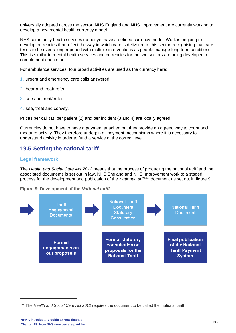universally adopted across the sector. NHS England and NHS Improvement are currently working to develop a new mental health currency model.

NHS community health services do not yet have a defined currency model. Work is ongoing to develop currencies that reflect the way in which care is delivered in this sector, recognising that care tends to be over a longer period with multiple interventions as people manage long term conditions. This is similar to mental health services and currencies for the two sectors are being developed to complement each other.

For ambulance services, four broad activities are used as the currency here:

- 1. urgent and emergency care calls answered
- 2. hear and treat/ refer
- 3. see and treat/ refer
- 4. see, treat and convey.

Prices per call (1), per patient (2) and per incident (3 and 4) are locally agreed.

Currencies do not have to have a payment attached but they provide an agreed way to count and measure activity. They therefore underpin all payment mechanisms where it is necessary to understand activity in order to fund a service at the correct level.

# **19.5 Setting the national tariff**

#### **Legal framework**

The *Health and Social Care Act 2012* means that the process of producing the national tariff and the associated documents is set out in law. NHS England and NHS Improvement work to a staged process for the development and publication of the *National tariff*<sup>254</sup> document as set out in figure 9:

**Figure 9: Development of the** *National tariff*



<sup>254</sup> The *Health and Social Care Act 2012* requires the document to be called the 'national tariff'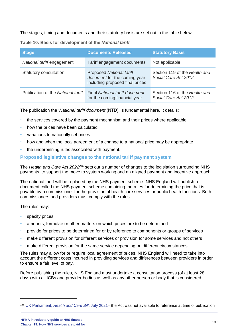The stages, timing and documents and their statutory basis are set out in the table below:

| <b>Stage</b>                       | <b>Documents Released</b>                                                                          | <b>Statutory Basis</b>                                |
|------------------------------------|----------------------------------------------------------------------------------------------------|-------------------------------------------------------|
| National tariff engagement         | Tariff engagement documents                                                                        | Not applicable                                        |
| Statutory consultation             | <b>Proposed National tariff</b><br>document for the coming year<br>including proposed final prices | Section 119 of the Health and<br>Social Care Act 2012 |
| Publication of the National tariff | <b>Final National tariff document</b><br>for the coming financial year                             | Section 116 of the Health and<br>Social Care Act 2012 |

**Table 10: Basis for development of the** *National tariff*

The publication the '*National tariff document* (NTD)' is fundamental here. It details:

- the services covered by the payment mechanism and their prices where applicable
- how the prices have been calculated
- variations to nationally set prices
- how and when the local agreement of a change to a national price may be appropriate
- the underpinning rules associated with payment.

#### **Proposed legislative changes to the national tariff payment system**

The *Health and Care Act 2022<sup>255</sup>* sets out a number of changes to the legislation surrounding NHS payments, to support the move to system working and an aligned payment and incentive approach.

The national tariff will be replaced by the NHS payment scheme. NHS England will publish a document called the NHS payment scheme containing the rules for determining the price that is payable by a commissioner for the provision of health care services or public health functions. Both commissioners and providers must comply with the rules.

The rules may:

- specify prices
- amounts, formulae or other matters on which prices are to be determined
- provide for prices to be determined for or by reference to components or groups of services
- make different provision for different services or provision for some services and not others
- make different provision for the same service depending on different circumstances.

The rules may allow for or require local agreement of prices. NHS England will need to take into account the different costs incurred in providing services and differences between providers in order to ensure a fair level of pay.

Before publishing the rules, NHS England must undertake a consultation process (of at least 28 days) with all ICBs and provider bodies as well as any other person or body that is considered

<sup>255</sup> UK Parliament, *[Health and Care Bill](https://bills.parliament.uk/bills/3022)*, July 2021– the Act was not available to reference at time of publication